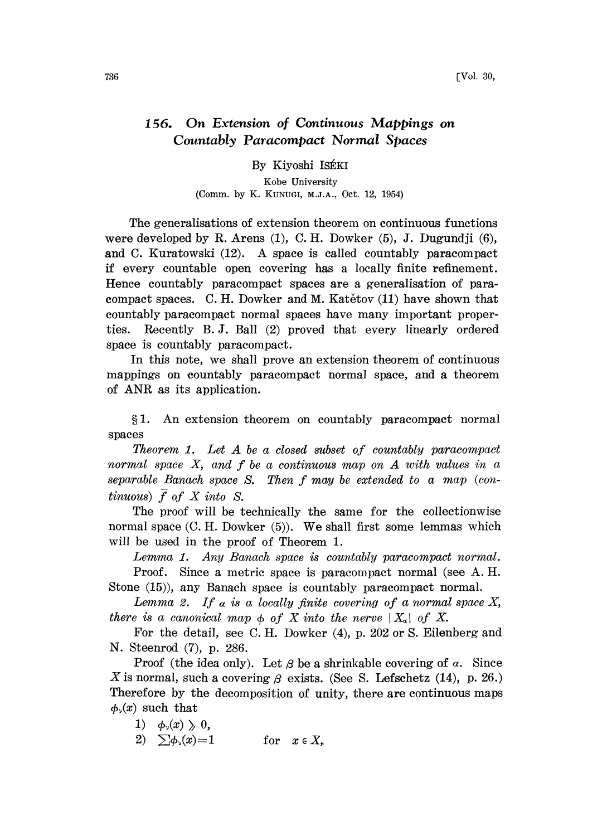## 156. On Extension of Continuous Mappings on Countably Paracompact Normal Spaces

By Kiyoshi ISÉKI

Kobe University (Comm. by K. KUNUGI, M.J.A., Oct. 12, 1954)

The generalisations of extension theorem on continuous functions were developed by R. Arens (1), C.H. Dowker (5), J. Dugundji (6), and C. Kuratowski (12). A space is called countably paracompact if every countable open covering has a locally finite refinement. Hence countably paracompact spaces are a generalisation of paracompact spaces. C.H. Dowker and M. Katetov  $(11)$  have shown that countably paracompact normal spaces have many important properties. Recently B.J. Ball (2) proved that every linearly ordered space is countably paracompact.

In this note, we shall prove an extension theorem of continuous mappings on countably paracompact normal space, and a theorem of ANR as its application.

1. An extension theorem on countably paracompact normal spaces

Theorem 1. Let A be <sup>a</sup> closed subset of countably paracompact normal space X, and f be <sup>a</sup> continuous map on A with values in <sup>a</sup> separable Banach space S. Then f may be extended to <sup>a</sup> map (continuous)  $\overline{f}$  of  $X$  into  $S$ .

The proof will be technically the same for the collectionwise normal space (C. H. Dowker (5)). We shall first some lemmas which will be used in the proof of Theorem 1.

Lemma 1. Any Banach space is countably paracompact normal. Proof. Since a metric space is paracompact normal (see A. H.

Stone (15)), any Banach space is countably paracompact normal.

Lemma 2. If a is a locally finite covering of a normal space  $X$ , there is a canonical map  $\phi$  of X into the nerve  $|X_{\alpha}|$  of X.

For the detail, see C.H. Dowker (4), p. 202 or S. Eilenberg and N. Steenrod (7), p. 286.

Proof (the idea only). Let  $\beta$  be a shrinkable covering of  $\alpha$ . Since X is normal, such a covering  $\beta$  exists. (See S. Lefschetz (14), p. 26.) Therefore by the decomposition of unity, there are continuous maps  $\phi_{\nu}(x)$  such that

- 1)  $\phi_{\nu}(x) \geqslant 0$ ,
- 2)  $\sum \phi_y(x)=1$  for  $x \in X$ ,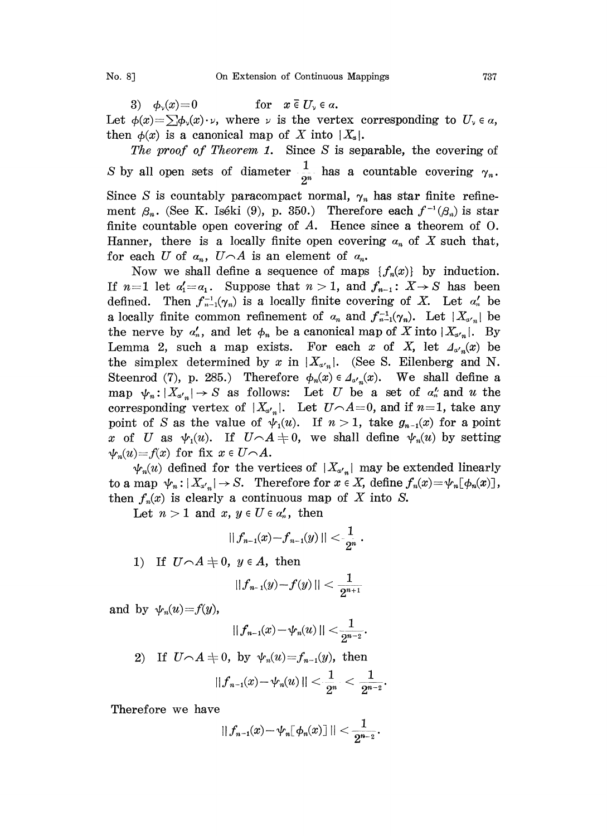3)  $\phi_y(x)=0$  for  $x \in U_y \in \alpha$ . Let  $\phi(x) = \sum \phi_y(x) \cdot \nu$ , where  $\nu$  is the vertex corresponding to  $U_{\nu} \in \alpha$ , then  $\phi(x)$  is a canonical map of X into  $|X_{\alpha}|$ .

The proof of Theorem 1. Since S is separable, the covering of S by all open sets of diameter  $\frac{1}{2^n}$  has a countable covering  $\gamma_n$ . Since S is countably paracompact normal,  $\gamma_n$  has star finite refinement  $\beta_n$ . (See K. Iséki (9), p. 350.) Therefore each  $f^{-1}(\beta_n)$  is star finite countable open covering of  $A$ . Hence since a theorem of  $O$ . Hanner, there is a locally finite open covering  $a_n$  of X such that, for each U of  $a_n$ ,  $U \cap A$  is an element of  $a_n$ .

Now we shall define a sequence of maps  $\{f_n(x)\}\$  by induction. If  $n=1$  let  $a'_1=a_1$ . Suppose that  $n>1$ , and  $f_{n-1}$ :  $X\rightarrow S$  has been defined. Then  $f_{n-1}^{-1}(\gamma_n)$  is a locally finite covering of X. Let  $\alpha'_n$  be a locally finite common refinement of  $a_n$  and  $f_{n-1}^{-1}(\gamma_n)$ . Let  $|X_{\alpha'_n}|$  be the nerve by  $a'_n$ , and let  $\phi_n$  be a canonical map of X into  $|X_{a'_n}|$ . By Lemma 2, such a map exists. For each x of X, let  $\Lambda_{\alpha',\alpha}(x)$  be the simplex determined by x in  $|X_{\alpha_n}|$ . (See S. Eilenberg and N. Steenrod (7), p. 285.) Therefore  $\phi_n(x) \in \Delta_{\alpha',n}(x)$ . We shall define a map  $\psi_n : |X_{\alpha'_n}| \to S$  as follows: Let U be a set of  $\alpha'_n$  and u the corresponding vertex of  $|X_{\alpha'_n}|$ . Let  $U \cap A = 0$ , and if  $n = 1$ , take any point of S as the value of  $\psi_1(u)$ . If  $n > 1$ , take  $g_{n-1}(x)$  for a point x of U as  $\psi_1(u)$ . If  $U \cap A = 0$ , we shall define  $\psi_n(u)$  by setting  $\psi_n(u)=f(x)$  for fix  $x \in U \cap A$ .

 $\psi_n(u)$  defined for the vertices of  $|X_{a'}|$  may be extended linearly to a map  $\psi_n : |X_{x,n}| \to S$ . Therefore for  $x \in X$ , define  $f_n(x) = \psi_n[\phi_n(x)]$ , then  $f_n(x)$  is clearly a continuous map of X into S.

Let  $n>1$  and  $x, y \in U \in \alpha'_n$ , then

$$
||f_{n-1}(x)-f_{n-1}(y)||<\frac{1}{2^n}.
$$

1) If  $U \cap A = 0$ ,  $y \in A$ , then

$$
||f_{n-1}(y)-f(y)|| < \frac{1}{2^{n+1}}
$$

and by  $\psi_n(u)=f(y)$ ,

$$
|| f_{n-1}(x) - \psi_n(u) || < \frac{1}{2^{n-2}}.
$$

$$
\begin{array}{ll} \text{2)} & \text{If}~~ U \hspace{-.05cm}\frown A \neq 0,~~\text{by}~~ \psi_n \!\left(u\right) \!=\! f_{n-1} \!\left(y\right), ~~\text{then} \\ & ~~\left|\left|f_{n-1} \!\left(x\right) \!-\! \psi_n \!\left(u\right)\right|\right| < \frac{1}{2^n}~< \frac{1}{2^{n-2}}. \end{array}
$$

Therefore we have

$$
|| f_{n-1}(x) - \psi_n [\phi_n(x)] || < \frac{1}{2^{n-2}}.
$$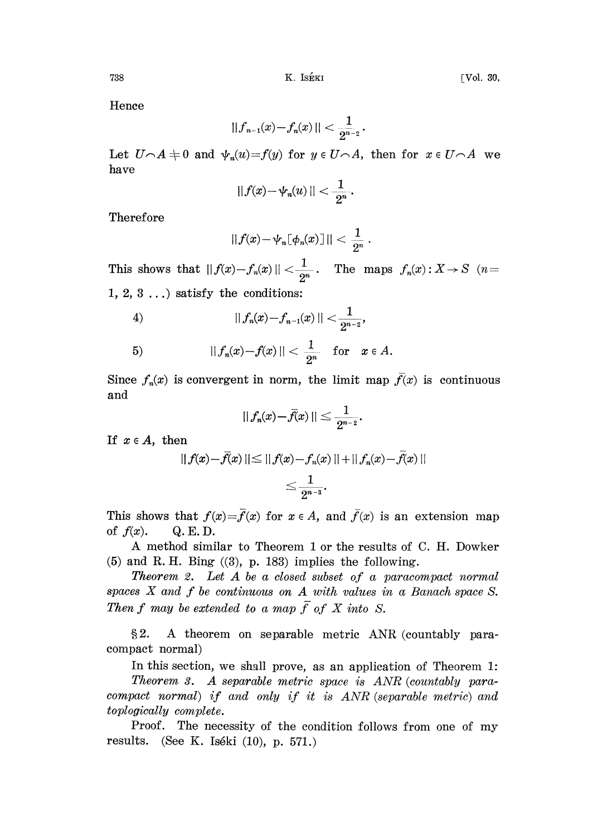Hence

$$
||f_{n-1}(x)-f_n(x)|| < \frac{1}{2^{n-2}}.
$$

Let  $U\cap A=0$  and  $\psi_n(u)=f(y)$  for  $y\in U\cap A$ , then for  $x\in U\cap A$  we have

$$
|| f(x) - \psi_n(u) || < \frac{1}{2^n}.
$$

Therefore

$$
||f(x)-\psi_n[\phi_n(x)]||<\frac{1}{2^n}.
$$

This shows that  $|| f(x)-f_n(x)|| < \frac{1}{2^n}$ . The maps  $f_n(x): X \to S$  (*n*= 1, 2, 3 ...) satisfy the conditions:

4) 
$$
|| f_n(x) - f_{n-1}(x) || < \frac{1}{2^{n-2}},
$$

5) 
$$
||f_n(x)-f(x)|| < \frac{1}{2^n}
$$
 for  $x \in A$ .

 $\frac{1}{2^n}$  for  $x \in A$ .<br>the limit map Since  $f_n(x)$  is convergent in norm, the limit map  $f(x)$  is continuous and

$$
|| f_n(x) - \bar{f}(x)|| \leq \frac{1}{2^{n-2}}.
$$

If  $x \in A$ , then

$$
|| f(x) - \bar{f}(x) || \le || f(x) - f_n(x) || + || f_n(x) - f(x) ||
$$
  

$$
\le \frac{1}{2^{n-3}}.
$$

This shows that  $f(x)=\bar{f}(x)$  for  $x \in A$ , and  $\bar{f}(x)$  is an extension map of  $f(x)$ . Q.E.D.

A method similar to Theorem <sup>1</sup> or the results of C. H. Dowker  $(5)$  and R.H. Bing  $((3), p. 183)$  implies the following.

**Theorem 2.** Let  $A$  be a closed subset of a paracompact normal spaces  $X$  and  $f$  be continuous on  $A$  with values in a Banach space  $S$ . Then f may be extended to a map  $\overline{f}$  of X into S.

2. A theorem on separable metric ANR (countably paracompact normal)

In this section, we shall prove, as an application of Theorem 1:

Theorem 3. A separable metric space is ANR (countably paracompact normal) if and only if it is  $ANR$  (separable metric) and toplogically complete.

Proof. The necessity of the condition follows from one of my results. (See K. Is6ki (10), p. 571.)

$$
738\,
$$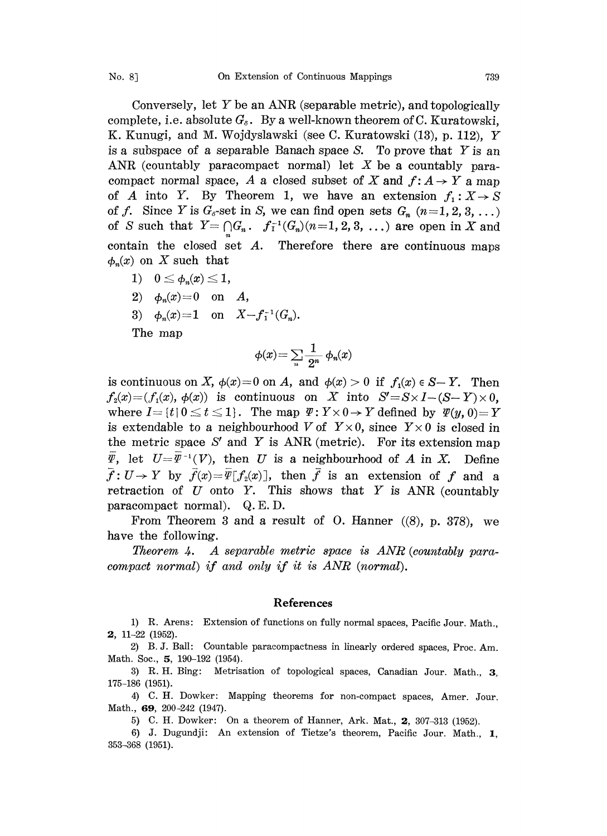Conversely, let  $Y$  be an ANR (separable metric), and topologically complete, i.e. absolute  $G_s$ . By a well-known theorem of C. Kuratowski, K. Kunugi, and M. Wojdyslawski (see C. Kuratowski (13), p. 112), Y is a subspace of a separable Banach space S. To prove that  $Y$  is an ANR (countably paracompact normal) let  $X$  be a countably paracompact normal space, A a closed subset of X and  $f: A \rightarrow Y$  a map of A into Y. By Theorem 1, we have an extension  $f_1: X \to S$ of f. Since Y is  $G_{\delta}$ -set in S, we can find open sets  $G_n$   $(n=1, 2, 3, ...)$ of S such that  $Y = \bigcap G_n$ .  $f_1^{-1}(G_n)(n=1, 2, 3, ...)$  are open in X and contain the closed set  $A$ . Therefore there are continuous maps  $\phi_n(x)$  on X such that

- 1)  $0 \leq \phi_n(x) \leq 1$ ,
- 2)  $\phi_n(x) = 0$  on A,
- 3)  $\phi_n(x)=1$  on  $X-f_1^{-1}(G_n)$ .

The map

$$
\phi(x) = \sum_{n} \frac{1}{2^n} \phi_n(x)
$$

is continuous on X,  $\phi(x)=0$  on A, and  $\phi(x) > 0$  if  $f_1(x) \in S-Y$ . Then  $f_2(x) = (f_1(x), \phi(x))$  is continuous on X into  $S' = S \times I - (S - Y) \times 0$ , where  $I = \{t | 0 \le t \le 1\}$ . The map  $\Psi: Y \times 0 \rightarrow Y$  defined by  $\Psi(y, 0) = Y$ is extendable to a neighbourhood V of  $Y\times 0$ , since  $Y\times 0$  is closed in the metric space  $S'$  and Y is ANR (metric). For its extension map  $\overline{\varPsi}$ , let  $U=\overline{\varPsi}^{-1}(V)$ , then U is a neighbourhood of A in X. Define  $\bar{f}: U \to Y$  by  $\bar{f}(x) = \bar{\Psi}[f_2(x)]$ , then  $\bar{f}$  is an extension of f and a retraction of  $U$  onto  $Y$ . This shows that  $Y$  is ANR (countably paracompact normal). Q.E.D.

From Theorem 3 and a result of O. Hanner  $((8), p. 378)$ , we have the following.

Theorem 4. A separable metric space is  $ANR$  (countably paracompact normal) if and only if it is ANR (normal).

## References

1) R. Arens: Extension of functions on fully normal spaces, Pacific Jour. Math., 2, 11-22 (1952).

2) B.J. Ball: Countable paracompactness in linearly ordered spaces, Proc. Am. Math. Soc., **5**, 190-192 (1954).

3) R.H. Bing: Metrisation of topological spaces, Canadian Jour. Math., 3, 175-186 (1951).

4) C.H. Dowker: Mapping theorems for non-compact spaces, Amer. Jour. Math., 69, 200-242 (1947).

5) C. H. Dowker: On a theorem of Hanner, Ark. Mat., 2, 307-313 (1952).

6) J. Dugundji: An extension of Tietze's theorem, Pacific Jour. Math., 1, 353-368 (1951).